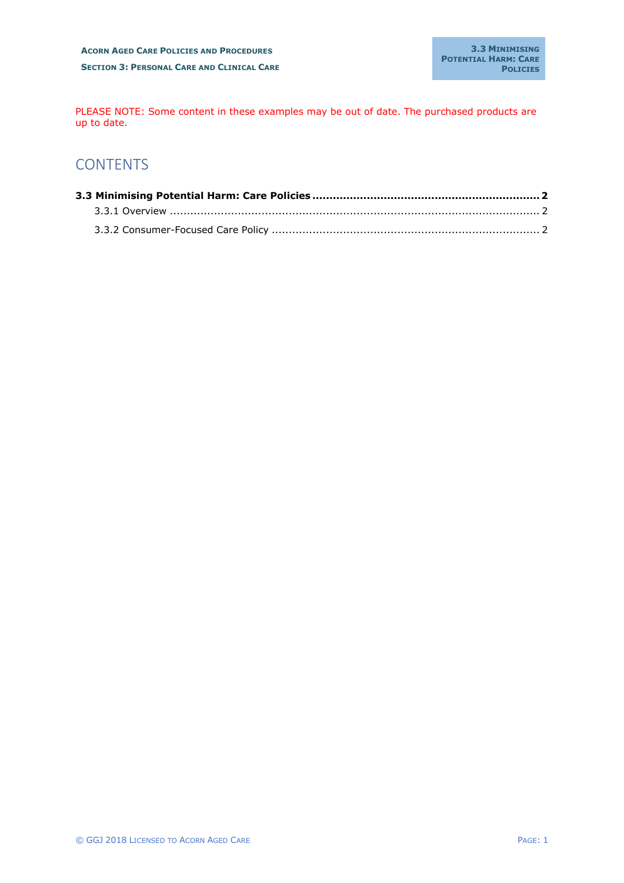PLEASE NOTE: Some content in these examples may be out of date. The purchased products are up to date.

## **CONTENTS**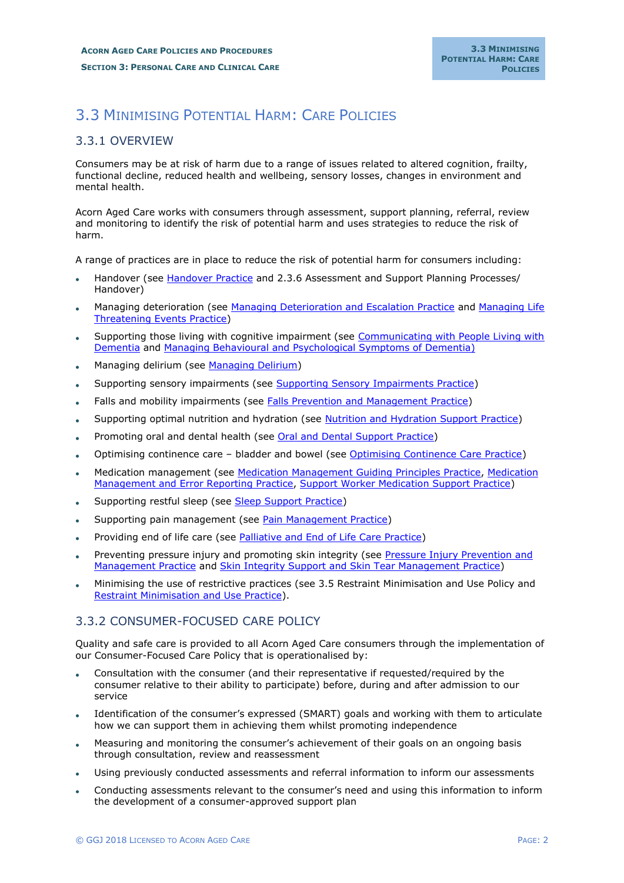## 3.3 MINIMISING POTENTIAL HARM: CARE POLICIES

## 3.3.1 OVERVIEW

Consumers may be at risk of harm due to a range of issues related to altered cognition, frailty, functional decline, reduced health and wellbeing, sensory losses, changes in environment and mental health.

Acorn Aged Care works with consumers through assessment, support planning, referral, review and monitoring to identify the risk of potential harm and uses strategies to reduce the risk of harm.

A range of practices are in place to reduce the risk of potential harm for consumers including:

- Handover (see Handover Practice and 2.3.6 Assessment and Support Planning Processes/ Handover)
- Managing deterioration (see Managing Deterioration and Escalation Practice and Managing Life Threatening Events Practice)
- Supporting those living with cognitive impairment (see Communicating with People Living with Dementia and Managing Behavioural and Psychological Symptoms of Dementia)
- Managing delirium (see Managing Delirium)
- Supporting sensory impairments (see Supporting Sensory Impairments Practice)
- Falls and mobility impairments (see Falls Prevention and Management Practice)
- Supporting optimal nutrition and hydration (see Nutrition and Hydration Support Practice)
- Promoting oral and dental health (see Oral and Dental Support Practice)
- Optimising continence care bladder and bowel (see Optimising Continence Care Practice)
- Medication management (see Medication Management Guiding Principles Practice, Medication Management and Error Reporting Practice, Support Worker Medication Support Practice)
- Supporting restful sleep (see Sleep Support Practice)
- Supporting pain management (see Pain Management Practice)
- Providing end of life care (see Palliative and End of Life Care Practice)
- Preventing pressure injury and promoting skin integrity (see Pressure Injury Prevention and Management Practice and Skin Integrity Support and Skin Tear Management Practice)
- Minimising the use of restrictive practices (see 3.5 Restraint Minimisation and Use Policy and Restraint Minimisation and Use Practice).

## 3.3.2 CONSUMER-FOCUSED CARE POLICY

Quality and safe care is provided to all Acorn Aged Care consumers through the implementation of our Consumer-Focused Care Policy that is operationalised by:

- Consultation with the consumer (and their representative if requested/required by the consumer relative to their ability to participate) before, during and after admission to our service
- Identification of the consumer's expressed (SMART) goals and working with them to articulate how we can support them in achieving them whilst promoting independence
- Measuring and monitoring the consumer's achievement of their goals on an ongoing basis through consultation, review and reassessment
- Using previously conducted assessments and referral information to inform our assessments
- Conducting assessments relevant to the consumer's need and using this information to inform the development of a consumer-approved support plan